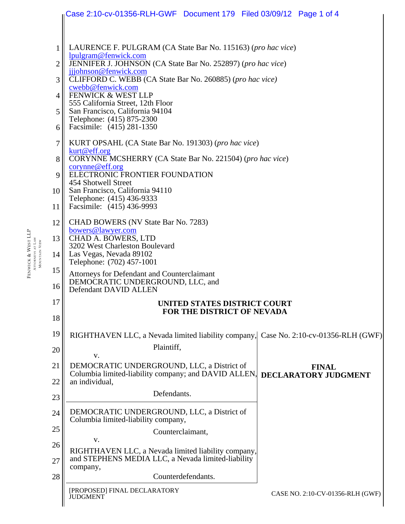|                 | Case 2:10-cv-01356-RLH-GWF  Document 179  Filed 03/09/12  Page 1 of 4                                                                             |
|-----------------|---------------------------------------------------------------------------------------------------------------------------------------------------|
|                 |                                                                                                                                                   |
| 1               | LAURENCE F. PULGRAM (CA State Bar No. 115163) (pro hac vice)<br>lpulgram@fenwick.com                                                              |
| 2               | JENNIFER J. JOHNSON (CA State Bar No. 252897) (pro hac vice)<br>jjjohnson@fenwick.com                                                             |
| 3               | CLIFFORD C. WEBB (CA State Bar No. 260885) (pro hac vice)<br>cwebb@fenwick.com                                                                    |
| $\overline{4}$  | FENWICK & WEST LLP<br>555 California Street, 12th Floor                                                                                           |
| 5               | San Francisco, California 94104<br>Telephone: (415) 875-2300                                                                                      |
| 6               | Facsimile: (415) 281-1350                                                                                                                         |
| 7               | KURT OPSAHL (CA State Bar No. 191303) (pro hac vice)<br>kurt@eff.org<br>CORYNNE MCSHERRY (CA State Bar No. 221504) (pro hac vice)                 |
| 8<br>9          | corynne@eff.org<br>ELECTRONIC FRONTIER FOUNDATION                                                                                                 |
| 10 <sup>1</sup> | 454 Shotwell Street<br>San Francisco, California 94110                                                                                            |
| 11              | Telephone: (415) 436-9333<br>Facsimile: (415) 436-9993                                                                                            |
| 12              | CHAD BOWERS (NV State Bar No. 7283)<br>bowers@lawyer.com                                                                                          |
| 13              | CHAD A. BOWERS, LTD<br>3202 West Charleston Boulevard                                                                                             |
| 14              | Las Vegas, Nevada 89102<br>Telephone: (702) 457-1001                                                                                              |
| 15<br>16        | Attorneys for Defendant and Counterclaimant<br>DEMOCRATIC UNDERGROUND, LLC, and<br>Defendant DAVID ALLEN                                          |
| 17              | UNITED STATES DISTRICT COURT                                                                                                                      |
| 18              | <b>FOR THE DISTRICT OF NEVADA</b>                                                                                                                 |
| 19              | RIGHTHAVEN LLC, a Nevada limited liability company,<br>Case No. 2:10-cv-01356-RLH (GWF)                                                           |
| 20              | Plaintiff,<br>V.                                                                                                                                  |
| 21              | DEMOCRATIC UNDERGROUND, LLC, a District of<br><b>FINAL</b><br>Columbia limited-liability company; and DAVID ALLEN,<br><b>DECLARATORY JUDGMENT</b> |
| 22              | an individual,<br>Defendants.                                                                                                                     |
| 23              |                                                                                                                                                   |
| 24              | DEMOCRATIC UNDERGROUND, LLC, a District of<br>Columbia limited-liability company,                                                                 |
| 25              | Counterclaimant,<br>V.                                                                                                                            |
| 26<br>27        | RIGHTHAVEN LLC, a Nevada limited liability company,<br>and STEPHENS MEDIA LLC, a Nevada limited-liability                                         |
| 28              | company,<br>Counterdefendants.                                                                                                                    |
|                 | [PROPOSED] FINAL DECLARATORY<br>CASE NO. 2:10-CV-01356-RLH (GWF)<br><b>JUDGMENT</b>                                                               |

FENWICK & WEST LLP ATTORNEYS AT LAW MOUNTAIN VIEW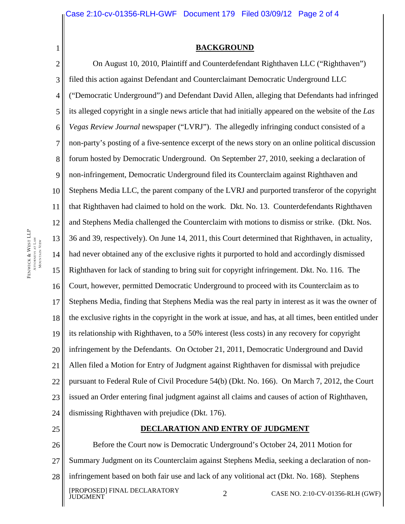## **BACKGROUND**

2 3 4 5 6 7 8 9 10 11 12 13 14 15 16 17 18 19 20 21 22 23 24 25 On August 10, 2010, Plaintiff and Counterdefendant Righthaven LLC ("Righthaven") filed this action against Defendant and Counterclaimant Democratic Underground LLC ("Democratic Underground") and Defendant David Allen, alleging that Defendants had infringed its alleged copyright in a single news article that had initially appeared on the website of the *Las Vegas Review Journal* newspaper ("LVRJ"). The allegedly infringing conduct consisted of a non-party's posting of a five-sentence excerpt of the news story on an online political discussion forum hosted by Democratic Underground. On September 27, 2010, seeking a declaration of non-infringement, Democratic Underground filed its Counterclaim against Righthaven and Stephens Media LLC, the parent company of the LVRJ and purported transferor of the copyright that Righthaven had claimed to hold on the work. Dkt. No. 13. Counterdefendants Righthaven and Stephens Media challenged the Counterclaim with motions to dismiss or strike. (Dkt. Nos. 36 and 39, respectively). On June 14, 2011, this Court determined that Righthaven, in actuality, had never obtained any of the exclusive rights it purported to hold and accordingly dismissed Righthaven for lack of standing to bring suit for copyright infringement. Dkt. No. 116. The Court, however, permitted Democratic Underground to proceed with its Counterclaim as to Stephens Media, finding that Stephens Media was the real party in interest as it was the owner of the exclusive rights in the copyright in the work at issue, and has, at all times, been entitled under its relationship with Righthaven, to a 50% interest (less costs) in any recovery for copyright infringement by the Defendants. On October 21, 2011, Democratic Underground and David Allen filed a Motion for Entry of Judgment against Righthaven for dismissal with prejudice pursuant to Federal Rule of Civil Procedure 54(b) (Dkt. No. 166). On March 7, 2012, the Court issued an Order entering final judgment against all claims and causes of action of Righthaven, dismissing Righthaven with prejudice (Dkt. 176). **DECLARATION AND ENTRY OF JUDGMENT**

26 27 28 [PROPOSED] FINAL DECLARATORY 2 CASE NO. 2:10-CV-01356-RLH (GWF) Before the Court now is Democratic Underground's October 24, 2011 Motion for Summary Judgment on its Counterclaim against Stephens Media, seeking a declaration of noninfringement based on both fair use and lack of any volitional act (Dkt. No. 168). Stephens

1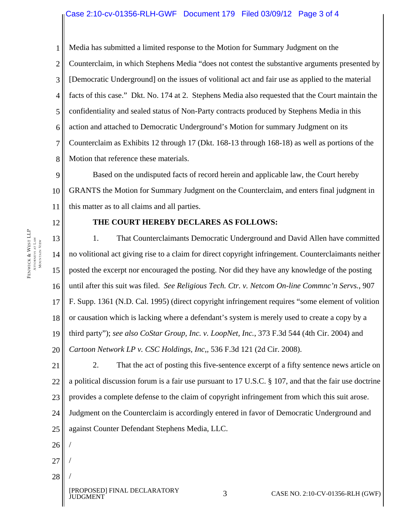## Case 2:10-cv-01356-RLH-GWF Document 179 Filed 03/09/12 Page 3 of 4

1 2 3 4 5 6 7 8 Media has submitted a limited response to the Motion for Summary Judgment on the Counterclaim, in which Stephens Media "does not contest the substantive arguments presented by [Democratic Underground] on the issues of volitional act and fair use as applied to the material facts of this case." Dkt. No. 174 at 2. Stephens Media also requested that the Court maintain the confidentiality and sealed status of Non-Party contracts produced by Stephens Media in this action and attached to Democratic Underground's Motion for summary Judgment on its Counterclaim as Exhibits 12 through 17 (Dkt. 168-13 through 168-18) as well as portions of the Motion that reference these materials.

9 10 11 Based on the undisputed facts of record herein and applicable law, the Court hereby GRANTS the Motion for Summary Judgment on the Counterclaim, and enters final judgment in this matter as to all claims and all parties.

12

28

/

## **THE COURT HEREBY DECLARES AS FOLLOWS:**

13 14 15 16 17 18 19 20 1. That Counterclaimants Democratic Underground and David Allen have committed no volitional act giving rise to a claim for direct copyright infringement. Counterclaimants neither posted the excerpt nor encouraged the posting. Nor did they have any knowledge of the posting until after this suit was filed. *See Religious Tech. Ctr. v. Netcom On-line Commnc'n Servs.*, 907 F. Supp. 1361 (N.D. Cal. 1995) (direct copyright infringement requires "some element of volition or causation which is lacking where a defendant's system is merely used to create a copy by a third party"); *see also CoStar Group, Inc. v. LoopNet, Inc.*, 373 F.3d 544 (4th Cir. 2004) and *Cartoon Network LP v. CSC Holdings, Inc*,*,* 536 F.3d 121 (2d Cir. 2008).

21 22 23 24 25 26 27 2. That the act of posting this five-sentence excerpt of a fifty sentence news article on a political discussion forum is a fair use pursuant to 17 U.S.C. § 107, and that the fair use doctrine provides a complete defense to the claim of copyright infringement from which this suit arose. Judgment on the Counterclaim is accordingly entered in favor of Democratic Underground and against Counter Defendant Stephens Media, LLC. / /

FENWICK & ATTORNEYS AT LAW MOUNTAIN VIEW

WEST LLP